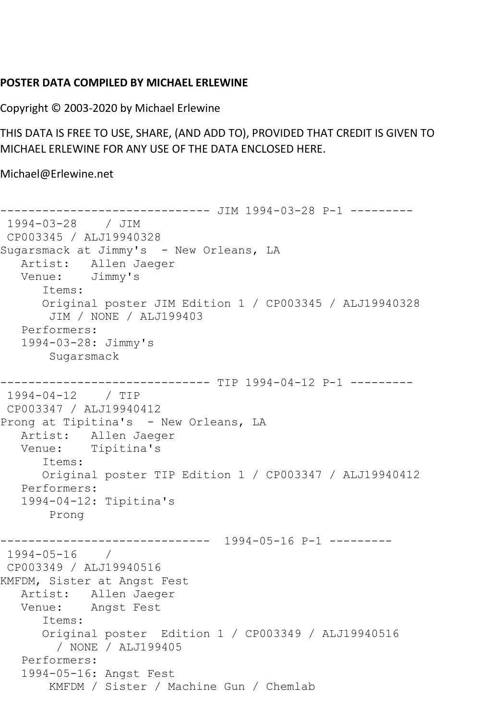## **POSTER DATA COMPILED BY MICHAEL ERLEWINE**

Copyright © 2003-2020 by Michael Erlewine

THIS DATA IS FREE TO USE, SHARE, (AND ADD TO), PROVIDED THAT CREDIT IS GIVEN TO MICHAEL ERLEWINE FOR ANY USE OF THE DATA ENCLOSED HERE.

Michael@Erlewine.net

------------------------------ JIM 1994-03-28 P-1 --------- 1994-03-28 / JIM CP003345 / ALJ19940328 Sugarsmack at Jimmy's - New Orleans, LA Artist: Allen Jaeger<br>Venue: Jimmy's Venue: Items: Original poster JIM Edition 1 / CP003345 / ALJ19940328 JIM / NONE / ALJ199403 Performers: 1994-03-28: Jimmy's Sugarsmack ----------------------------- TIP 1994-04-12 P-1 ---------1994-04-12 / TIP CP003347 / ALJ19940412 Prong at Tipitina's - New Orleans, LA Artist: Allen Jaeger Venue: Tipitina's Items: Original poster TIP Edition 1 / CP003347 / ALJ19940412 Performers: 1994-04-12: Tipitina's Prong ------------------------------ 1994-05-16 P-1 --------- 1994-05-16 / CP003349 / ALJ19940516 KMFDM, Sister at Angst Fest Artist: Allen Jaeger Venue: Angst Fest Items: Original poster Edition 1 / CP003349 / ALJ19940516 / NONE / ALJ199405 Performers: 1994-05-16: Angst Fest KMFDM / Sister / Machine Gun / Chemlab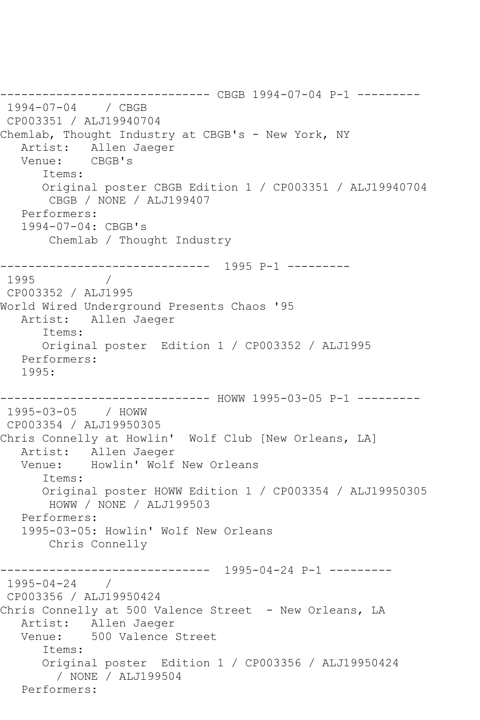------------------------------ CBGB 1994-07-04 P-1 --------- 1994-07-04 / CBGB CP003351 / ALJ19940704 Chemlab, Thought Industry at CBGB's - New York, NY Artist: Allen Jaeger<br>Venue: CBGB's Venue: Items: Original poster CBGB Edition 1 / CP003351 / ALJ19940704 CBGB / NONE / ALJ199407 Performers: 1994-07-04: CBGB's Chemlab / Thought Industry ------------------------------ 1995 P-1 --------- 1995 / CP003352 / ALJ1995 World Wired Underground Presents Chaos '95 Artist: Allen Jaeger Items: Original poster Edition 1 / CP003352 / ALJ1995 Performers: 1995: ------------------------------ HOWW 1995-03-05 P-1 --------- 1995-03-05 / HOWW CP003354 / ALJ19950305 Chris Connelly at Howlin' Wolf Club [New Orleans, LA] Artist: Allen Jaeger Venue: Howlin' Wolf New Orleans Items: Original poster HOWW Edition 1 / CP003354 / ALJ19950305 HOWW / NONE / ALJ199503 Performers: 1995-03-05: Howlin' Wolf New Orleans Chris Connelly ------------------------------ 1995-04-24 P-1 --------- 1995-04-24 / CP003356 / ALJ19950424 Chris Connelly at 500 Valence Street - New Orleans, LA Artist: Allen Jaeger Venue: 500 Valence Street Items: Original poster Edition 1 / CP003356 / ALJ19950424 / NONE / ALJ199504 Performers: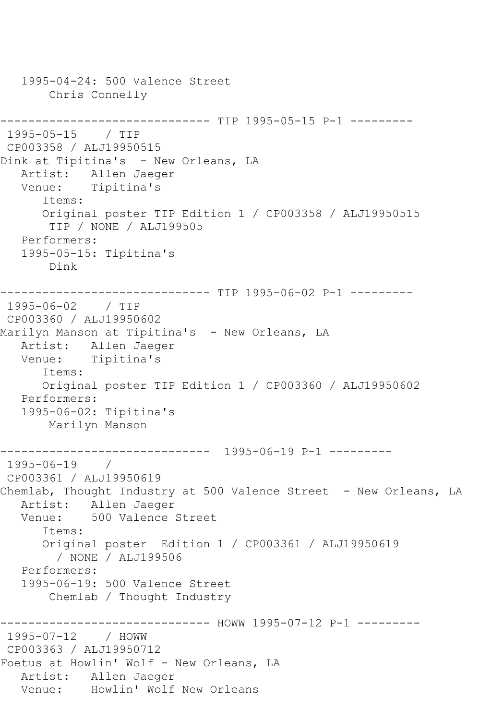```
 1995-04-24: 500 Valence Street
        Chris Connelly
                   ------------ TIP 1995-05-15 P-1 ---------
1995-05-15 / TIP 
CP003358 / ALJ19950515
Dink at Tipitina's - New Orleans, LA
   Artist: Allen Jaeger
   Venue: Tipitina's
       Items:
       Original poster TIP Edition 1 / CP003358 / ALJ19950515
        TIP / NONE / ALJ199505
    Performers:
    1995-05-15: Tipitina's
        Dink
------------------------------ TIP 1995-06-02 P-1 ---------
1995-06-02 / TIP 
CP003360 / ALJ19950602
Marilyn Manson at Tipitina's - New Orleans, LA
   Artist: Allen Jaeger
   Venue: Tipitina's
       Items:
       Original poster TIP Edition 1 / CP003360 / ALJ19950602
    Performers:
    1995-06-02: Tipitina's
        Marilyn Manson
               ------------------------------ 1995-06-19 P-1 ---------
1995-06-19 / 
CP003361 / ALJ19950619
Chemlab, Thought Industry at 500 Valence Street - New Orleans, LA
  Artist: Allen Jaeger<br>Venue: 500 Valence
            500 Valence Street
       Items:
       Original poster Edition 1 / CP003361 / ALJ19950619
         / NONE / ALJ199506
    Performers:
    1995-06-19: 500 Valence Street
        Chemlab / Thought Industry
------------------------------ HOWW 1995-07-12 P-1 ---------
1995-07-12 / HOWW 
CP003363 / ALJ19950712
Foetus at Howlin' Wolf - New Orleans, LA
  Artist: Allen Jaeger<br>Venue: Howlin' Wolf
            Howlin' Wolf New Orleans
```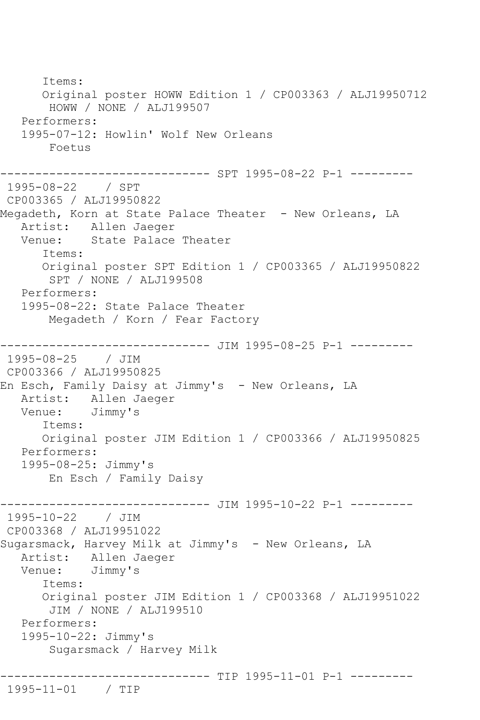Items: Original poster HOWW Edition 1 / CP003363 / ALJ19950712 HOWW / NONE / ALJ199507 Performers: 1995-07-12: Howlin' Wolf New Orleans Foetus ------------------------------ SPT 1995-08-22 P-1 --------- 1995-08-22 / SPT CP003365 / ALJ19950822 Megadeth, Korn at State Palace Theater - New Orleans, LA Artist: Allen Jaeger<br>Venue: State Palace State Palace Theater Items: Original poster SPT Edition 1 / CP003365 / ALJ19950822 SPT / NONE / ALJ199508 Performers: 1995-08-22: State Palace Theater Megadeth / Korn / Fear Factory ----------------------------- JIM 1995-08-25 P-1 ----------1995-08-25 / JIM CP003366 / ALJ19950825 En Esch, Family Daisy at Jimmy's - New Orleans, LA Artist: Allen Jaeger<br>Venue: Jimmy's Jimmy's Items: Original poster JIM Edition 1 / CP003366 / ALJ19950825 Performers: 1995-08-25: Jimmy's En Esch / Family Daisy ------------------------------ JIM 1995-10-22 P-1 --------- 1995-10-22 / JIM CP003368 / ALJ19951022 Sugarsmack, Harvey Milk at Jimmy's - New Orleans, LA Artist: Allen Jaeger Venue: Jimmy's Items: Original poster JIM Edition 1 / CP003368 / ALJ19951022 JIM / NONE / ALJ199510 Performers: 1995-10-22: Jimmy's Sugarsmack / Harvey Milk ------------------------------ TIP 1995-11-01 P-1 --------- 1995-11-01 / TIP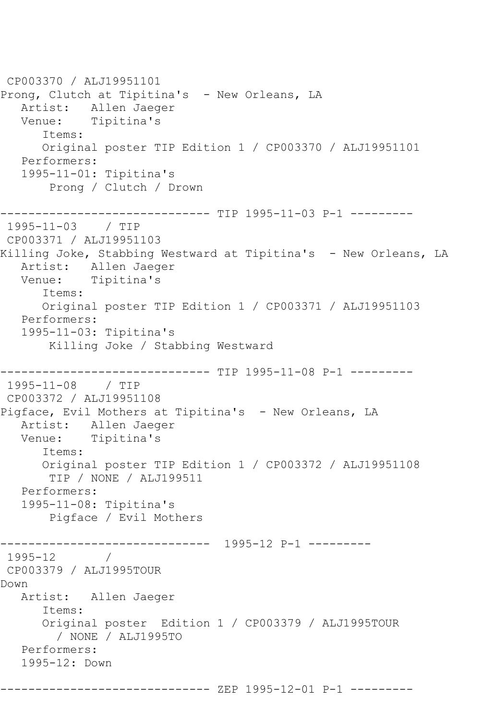```
CP003370 / ALJ19951101
Prong, Clutch at Tipitina's - New Orleans, LA
   Artist: Allen Jaeger
   Venue: Tipitina's
       Items:
       Original poster TIP Edition 1 / CP003370 / ALJ19951101
   Performers:
   1995-11-01: Tipitina's
        Prong / Clutch / Drown
----------------------------- TIP 1995-11-03 P-1 ----------
1995-11-03 / TIP 
CP003371 / ALJ19951103
Killing Joke, Stabbing Westward at Tipitina's - New Orleans, LA
   Artist: Allen Jaeger
   Venue: Tipitina's
       Items:
      Original poster TIP Edition 1 / CP003371 / ALJ19951103
   Performers:
   1995-11-03: Tipitina's
        Killing Joke / Stabbing Westward
                ------------------------------ TIP 1995-11-08 P-1 ---------
1995-11-08 / TIP 
CP003372 / ALJ19951108
Pigface, Evil Mothers at Tipitina's - New Orleans, LA
   Artist: Allen Jaeger
   Venue: Tipitina's
       Items:
       Original poster TIP Edition 1 / CP003372 / ALJ19951108
        TIP / NONE / ALJ199511
   Performers:
   1995-11-08: Tipitina's
        Pigface / Evil Mothers
   ------------------------------ 1995-12 P-1 ---------
1995-12 / 
CP003379 / ALJ1995TOUR
Down
   Artist: Allen Jaeger
       Items:
       Original poster Edition 1 / CP003379 / ALJ1995TOUR
         / NONE / ALJ1995TO
   Performers:
   1995-12: Down
            ----------------- ZEP 1995-12-01 P-1 ---------
```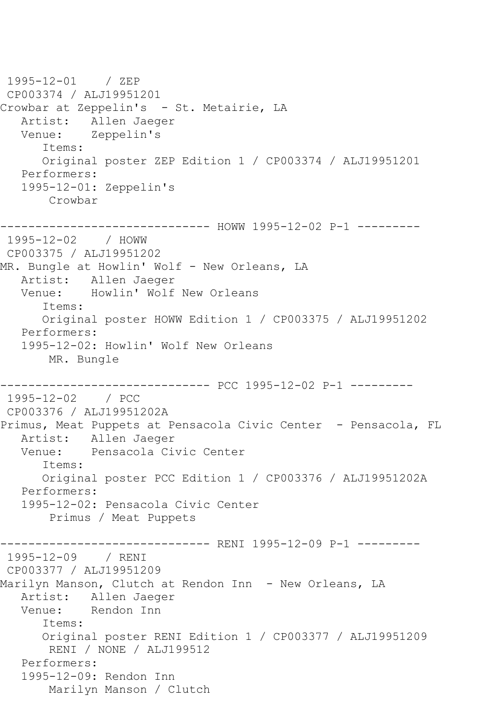1995-12-01 / ZEP CP003374 / ALJ19951201 Crowbar at Zeppelin's - St. Metairie, LA Artist: Allen Jaeger<br>Venue: Zeppelin's Zeppelin's Items: Original poster ZEP Edition 1 / CP003374 / ALJ19951201 Performers: 1995-12-01: Zeppelin's Crowbar ------------------------------ HOWW 1995-12-02 P-1 --------- 1995-12-02 / HOWW CP003375 / ALJ19951202 MR. Bungle at Howlin' Wolf - New Orleans, LA Artist: Allen Jaeger Venue: Howlin' Wolf New Orleans Items: Original poster HOWW Edition 1 / CP003375 / ALJ19951202 Performers: 1995-12-02: Howlin' Wolf New Orleans MR. Bungle ------------------------------ PCC 1995-12-02 P-1 --------- 1995-12-02 / PCC CP003376 / ALJ19951202A Primus, Meat Puppets at Pensacola Civic Center - Pensacola, FL Artist: Allen Jaeger Venue: Pensacola Civic Center Items: Original poster PCC Edition 1 / CP003376 / ALJ19951202A Performers: 1995-12-02: Pensacola Civic Center Primus / Meat Puppets ------------------------------ RENI 1995-12-09 P-1 --------- 1995-12-09 / RENI CP003377 / ALJ19951209 Marilyn Manson, Clutch at Rendon Inn - New Orleans, LA Artist: Allen Jaeger Venue: Rendon Inn Items: Original poster RENI Edition 1 / CP003377 / ALJ19951209 RENI / NONE / ALJ199512 Performers: 1995-12-09: Rendon Inn Marilyn Manson / Clutch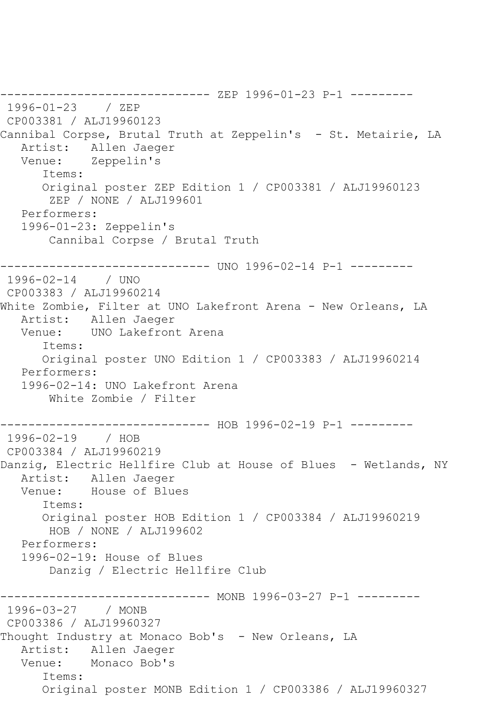------------------------------ ZEP 1996-01-23 P-1 --------- 1996-01-23 / ZEP CP003381 / ALJ19960123 Cannibal Corpse, Brutal Truth at Zeppelin's - St. Metairie, LA<br>Artist: Allen Jaeger Artist: Allen Jaeger<br>Venue: Zeppelin's Zeppelin's Items: Original poster ZEP Edition 1 / CP003381 / ALJ19960123 ZEP / NONE / ALJ199601 Performers: 1996-01-23: Zeppelin's Cannibal Corpse / Brutal Truth ----------- UNO 1996-02-14 P-1 ---------1996-02-14 / UNO CP003383 / ALJ19960214 White Zombie, Filter at UNO Lakefront Arena - New Orleans, LA Artist: Allen Jaeger<br>Venue: UNO Lakefront UNO Lakefront Arena Items: Original poster UNO Edition 1 / CP003383 / ALJ19960214 Performers: 1996-02-14: UNO Lakefront Arena White Zombie / Filter ------------------------------ HOB 1996-02-19 P-1 --------- 1996-02-19 / HOB CP003384 / ALJ19960219 Danzig, Electric Hellfire Club at House of Blues - Wetlands, NY Artist: Allen Jaeger Venue: House of Blues Items: Original poster HOB Edition 1 / CP003384 / ALJ19960219 HOB / NONE / ALJ199602 Performers: 1996-02-19: House of Blues Danzig / Electric Hellfire Club \_\_\_\_\_\_\_\_\_\_\_\_\_\_\_ ------------- MONB 1996-03-27 P-1 ---------1996-03-27 / MONB CP003386 / ALJ19960327 Thought Industry at Monaco Bob's - New Orleans, LA Artist: Allen Jaeger Venue: Monaco Bob's Items: Original poster MONB Edition 1 / CP003386 / ALJ19960327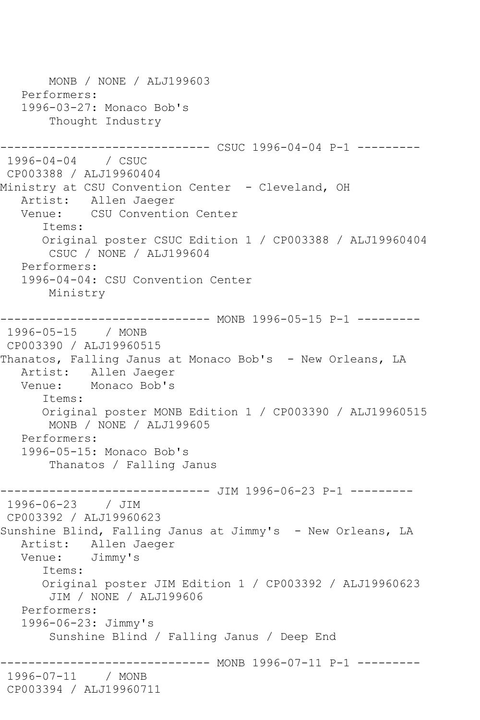MONB / NONE / ALJ199603 Performers: 1996-03-27: Monaco Bob's Thought Industry ------------------------------ CSUC 1996-04-04 P-1 --------- 1996-04-04 / CSUC CP003388 / ALJ19960404 Ministry at CSU Convention Center - Cleveland, OH Artist: Allen Jaeger<br>Venue: CSU Conventio CSU Convention Center Items: Original poster CSUC Edition 1 / CP003388 / ALJ19960404 CSUC / NONE / ALJ199604 Performers: 1996-04-04: CSU Convention Center Ministry --------- MONB 1996-05-15 P-1 ---------1996-05-15 / MONB CP003390 / ALJ19960515 Thanatos, Falling Janus at Monaco Bob's - New Orleans, LA Artist: Allen Jaeger<br>Venue: Monaco Bob's Monaco Bob's Items: Original poster MONB Edition 1 / CP003390 / ALJ19960515 MONB / NONE / ALJ199605 Performers: 1996-05-15: Monaco Bob's Thanatos / Falling Janus ------------------------------ JIM 1996-06-23 P-1 --------- 1996-06-23 / JIM CP003392 / ALJ19960623 Sunshine Blind, Falling Janus at Jimmy's - New Orleans, LA Artist: Allen Jaeger<br>Venue: Jimmv's Jimmy's Items: Original poster JIM Edition 1 / CP003392 / ALJ19960623 JIM / NONE / ALJ199606 Performers: 1996-06-23: Jimmy's Sunshine Blind / Falling Janus / Deep End ------------------------------ MONB 1996-07-11 P-1 --------- 1996-07-11 / MONB CP003394 / ALJ19960711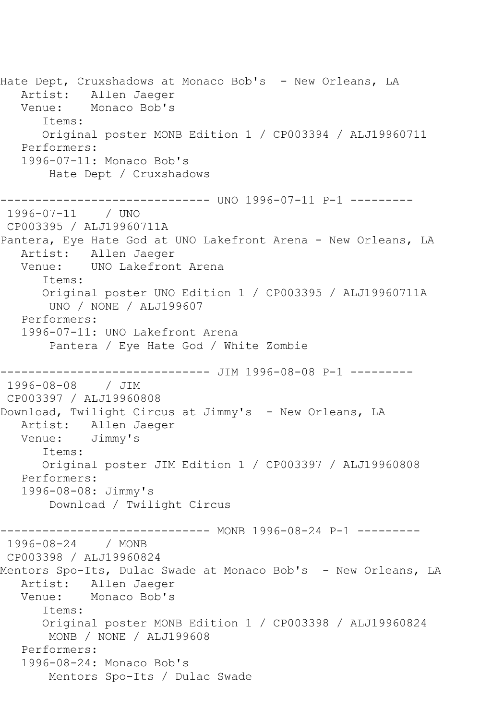Hate Dept, Cruxshadows at Monaco Bob's - New Orleans, LA Artist: Allen Jaeger Venue: Monaco Bob's Items: Original poster MONB Edition 1 / CP003394 / ALJ19960711 Performers: 1996-07-11: Monaco Bob's Hate Dept / Cruxshadows ------------------------------ UNO 1996-07-11 P-1 --------- 1996-07-11 / UNO CP003395 / ALJ19960711A Pantera, Eye Hate God at UNO Lakefront Arena - New Orleans, LA Artist: Allen Jaeger Venue: UNO Lakefront Arena Items: Original poster UNO Edition 1 / CP003395 / ALJ19960711A UNO / NONE / ALJ199607 Performers: 1996-07-11: UNO Lakefront Arena Pantera / Eye Hate God / White Zombie ------------------------------ JIM 1996-08-08 P-1 --------- 1996-08-08 / JIM CP003397 / ALJ19960808 Download, Twilight Circus at Jimmy's - New Orleans, LA Artist: Allen Jaeger Venue: Jimmy's Items: Original poster JIM Edition 1 / CP003397 / ALJ19960808 Performers: 1996-08-08: Jimmy's Download / Twilight Circus ------------------------------ MONB 1996-08-24 P-1 --------- 1996-08-24 / MONB CP003398 / ALJ19960824 Mentors Spo-Its, Dulac Swade at Monaco Bob's - New Orleans, LA Artist: Allen Jaeger<br>Venue: Monaco Bob's Monaco Bob's Items: Original poster MONB Edition 1 / CP003398 / ALJ19960824 MONB / NONE / ALJ199608 Performers: 1996-08-24: Monaco Bob's Mentors Spo-Its / Dulac Swade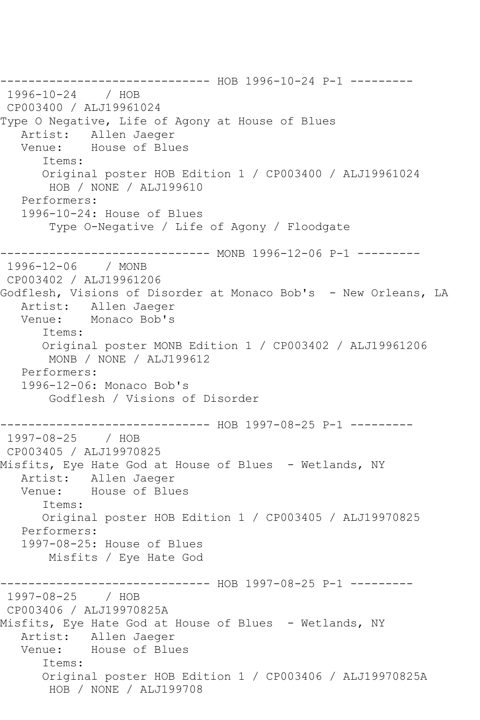------------------------------ HOB 1996-10-24 P-1 --------- 1996-10-24 / HOB CP003400 / ALJ19961024 Type O Negative, Life of Agony at House of Blues Artist: Allen Jaeger Venue: House of Blues Items: Original poster HOB Edition 1 / CP003400 / ALJ19961024 HOB / NONE / ALJ199610 Performers: 1996-10-24: House of Blues Type O-Negative / Life of Agony / Floodgate ------------- MONB 1996-12-06 P-1 ---------1996-12-06 / MONB CP003402 / ALJ19961206 Godflesh, Visions of Disorder at Monaco Bob's - New Orleans, LA Artist: Allen Jaeger Venue: Monaco Bob's Items: Original poster MONB Edition 1 / CP003402 / ALJ19961206 MONB / NONE / ALJ199612 Performers: 1996-12-06: Monaco Bob's Godflesh / Visions of Disorder ------------------------------ HOB 1997-08-25 P-1 --------- 1997-08-25 / HOB CP003405 / ALJ19970825 Misfits, Eye Hate God at House of Blues - Wetlands, NY Artist: Allen Jaeger Venue: House of Blues Items: Original poster HOB Edition 1 / CP003405 / ALJ19970825 Performers: 1997-08-25: House of Blues Misfits / Eye Hate God ------------------------------ HOB 1997-08-25 P-1 --------- 1997-08-25 / HOB CP003406 / ALJ19970825A Misfits, Eye Hate God at House of Blues - Wetlands, NY Artist: Allen Jaeger Venue: House of Blues Items: Original poster HOB Edition 1 / CP003406 / ALJ19970825A HOB / NONE / ALJ199708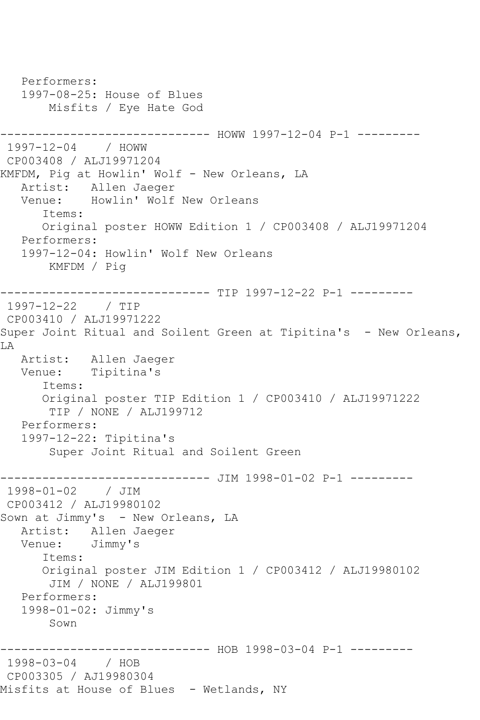```
 Performers:
   1997-08-25: House of Blues
        Misfits / Eye Hate God
------------------------------ HOWW 1997-12-04 P-1 ---------
1997-12-04 / HOWW 
CP003408 / ALJ19971204
KMFDM, Pig at Howlin' Wolf - New Orleans, LA
   Artist: Allen Jaeger
   Venue: Howlin' Wolf New Orleans
       Items:
      Original poster HOWW Edition 1 / CP003408 / ALJ19971204
   Performers:
   1997-12-04: Howlin' Wolf New Orleans
       KMFDM / Pig
------------------------------ TIP 1997-12-22 P-1 ---------
1997-12-22 / TIP 
CP003410 / ALJ19971222
Super Joint Ritual and Soilent Green at Tipitina's - New Orleans,
LA
   Artist: Allen Jaeger
   Venue: Tipitina's
       Items:
      Original poster TIP Edition 1 / CP003410 / ALJ19971222
        TIP / NONE / ALJ199712
   Performers:
   1997-12-22: Tipitina's
        Super Joint Ritual and Soilent Green
                   ------------------------------ JIM 1998-01-02 P-1 ---------
1998-01-02 / JIM 
CP003412 / ALJ19980102
Sown at Jimmy's - New Orleans, LA
   Artist: Allen Jaeger
   Venue: Jimmy's
       Items:
       Original poster JIM Edition 1 / CP003412 / ALJ19980102
        JIM / NONE / ALJ199801
   Performers:
   1998-01-02: Jimmy's
        Sown
         ------------------------------ HOB 1998-03-04 P-1 ---------
1998-03-04 / HOB 
CP003305 / AJ19980304
Misfits at House of Blues - Wetlands, NY
```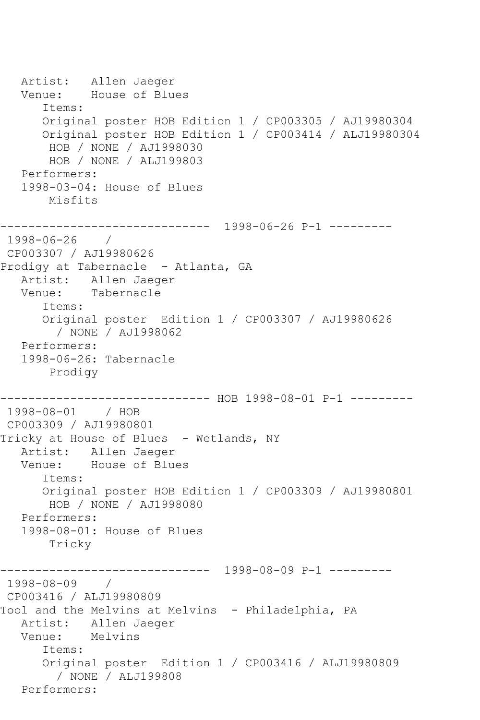Artist: Allen Jaeger<br>Venue: House of Blu House of Blues Items: Original poster HOB Edition 1 / CP003305 / AJ19980304 Original poster HOB Edition 1 / CP003414 / ALJ19980304 HOB / NONE / AJ1998030 HOB / NONE / ALJ199803 Performers: 1998-03-04: House of Blues Misfits ------------------------------ 1998-06-26 P-1 --------- 1998-06-26 / CP003307 / AJ19980626 Prodigy at Tabernacle - Atlanta, GA Artist: Allen Jaeger Venue: Tabernacle Items: Original poster Edition 1 / CP003307 / AJ19980626 / NONE / AJ1998062 Performers: 1998-06-26: Tabernacle Prodigy ------------------------------ HOB 1998-08-01 P-1 --------- 1998-08-01 / HOB CP003309 / AJ19980801 Tricky at House of Blues - Wetlands, NY Artist: Allen Jaeger Venue: House of Blues Items: Original poster HOB Edition 1 / CP003309 / AJ19980801 HOB / NONE / AJ1998080 Performers: 1998-08-01: House of Blues Tricky ------------------------------ 1998-08-09 P-1 --------- 1998-08-09 / CP003416 / ALJ19980809 Tool and the Melvins at Melvins - Philadelphia, PA Artist: Allen Jaeger Venue: Melvins Items: Original poster Edition 1 / CP003416 / ALJ19980809 / NONE / ALJ199808 Performers: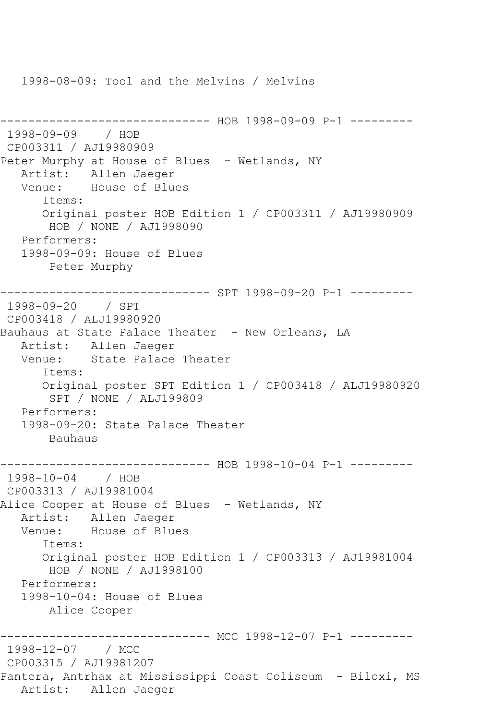1998-08-09: Tool and the Melvins / Melvins ------------------------------ HOB 1998-09-09 P-1 --------- 1998-09-09 / HOB CP003311 / AJ19980909 Peter Murphy at House of Blues - Wetlands, NY Artist: Allen Jaeger Venue: House of Blues Items: Original poster HOB Edition 1 / CP003311 / AJ19980909 HOB / NONE / AJ1998090 Performers: 1998-09-09: House of Blues Peter Murphy ------------------------------ SPT 1998-09-20 P-1 --------- 1998-09-20 / SPT CP003418 / ALJ19980920 Bauhaus at State Palace Theater - New Orleans, LA Artist: Allen Jaeger Venue: State Palace Theater Items: Original poster SPT Edition 1 / CP003418 / ALJ19980920 SPT / NONE / ALJ199809 Performers: 1998-09-20: State Palace Theater Bauhaus ------------------------------ HOB 1998-10-04 P-1 --------- 1998-10-04 / HOB CP003313 / AJ19981004 Alice Cooper at House of Blues - Wetlands, NY Artist: Allen Jaeger Venue: House of Blues Items: Original poster HOB Edition 1 / CP003313 / AJ19981004 HOB / NONE / AJ1998100 Performers: 1998-10-04: House of Blues Alice Cooper ------------------------------ MCC 1998-12-07 P-1 --------- 1998-12-07 / MCC CP003315 / AJ19981207 Pantera, Antrhax at Mississippi Coast Coliseum - Biloxi, MS Artist: Allen Jaeger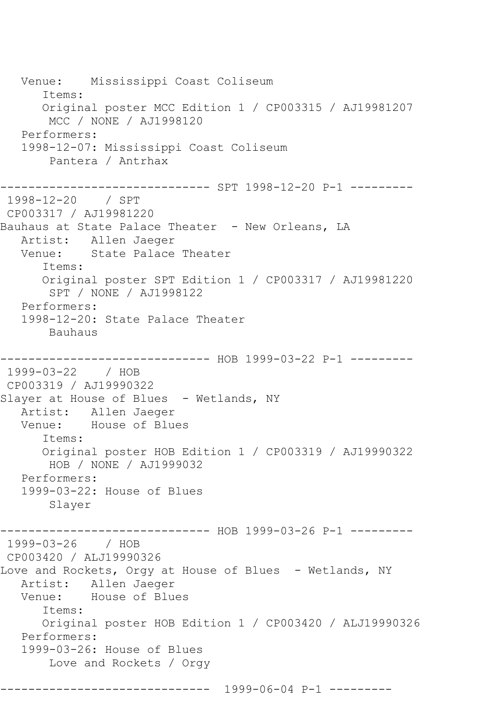Venue: Mississippi Coast Coliseum Items: Original poster MCC Edition 1 / CP003315 / AJ19981207 MCC / NONE / AJ1998120 Performers: 1998-12-07: Mississippi Coast Coliseum Pantera / Antrhax ------------------------------ SPT 1998-12-20 P-1 --------- 1998-12-20 / SPT CP003317 / AJ19981220 Bauhaus at State Palace Theater - New Orleans, LA Artist: Allen Jaeger Venue: State Palace Theater Items: Original poster SPT Edition 1 / CP003317 / AJ19981220 SPT / NONE / AJ1998122 Performers: 1998-12-20: State Palace Theater Bauhaus ------------------------------ HOB 1999-03-22 P-1 --------- 1999-03-22 / HOB CP003319 / AJ19990322 Slayer at House of Blues - Wetlands, NY Artist: Allen Jaeger Venue: House of Blues Items: Original poster HOB Edition 1 / CP003319 / AJ19990322 HOB / NONE / AJ1999032 Performers: 1999-03-22: House of Blues Slayer --------- HOB 1999-03-26 P-1 ---------1999-03-26 / HOB CP003420 / ALJ19990326 Love and Rockets, Orgy at House of Blues - Wetlands, NY Artist: Allen Jaeger<br>Venue: House of Blue House of Blues Items: Original poster HOB Edition 1 / CP003420 / ALJ19990326 Performers: 1999-03-26: House of Blues Love and Rockets / Orgy ------------------------------ 1999-06-04 P-1 ---------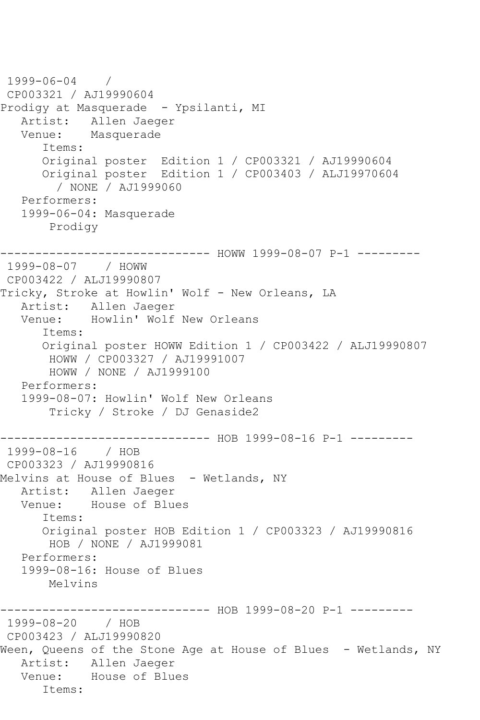```
1999-06-04 / 
CP003321 / AJ19990604
Prodigy at Masquerade - Ypsilanti, MI
  Artist: Allen Jaeger<br>Venue: Masquerade
            Masquerade
       Items:
       Original poster Edition 1 / CP003321 / AJ19990604
       Original poster Edition 1 / CP003403 / ALJ19970604
         / NONE / AJ1999060
    Performers:
    1999-06-04: Masquerade
        Prodigy
------------------------------ HOWW 1999-08-07 P-1 ---------
1999-08-07 / HOWW 
CP003422 / ALJ19990807
Tricky, Stroke at Howlin' Wolf - New Orleans, LA
    Artist: Allen Jaeger
   Venue: Howlin' Wolf New Orleans
       Items:
       Original poster HOWW Edition 1 / CP003422 / ALJ19990807
        HOWW / CP003327 / AJ19991007
        HOWW / NONE / AJ1999100
   Performers:
    1999-08-07: Howlin' Wolf New Orleans
        Tricky / Stroke / DJ Genaside2
                    ----------- HOB 1999-08-16 P-1 ---------
1999-08-16 / HOB 
CP003323 / AJ19990816
Melvins at House of Blues - Wetlands, NY
   Artist: Allen Jaeger
   Venue: House of Blues
       Items:
       Original poster HOB Edition 1 / CP003323 / AJ19990816
        HOB / NONE / AJ1999081
   Performers:
    1999-08-16: House of Blues
        Melvins
                    ------------------------------ HOB 1999-08-20 P-1 ---------
1999-08-20 / HOB 
CP003423 / ALJ19990820
Ween, Queens of the Stone Age at House of Blues - Wetlands, NY
   Artist: Allen Jaeger
   Venue: House of Blues
       Items:
```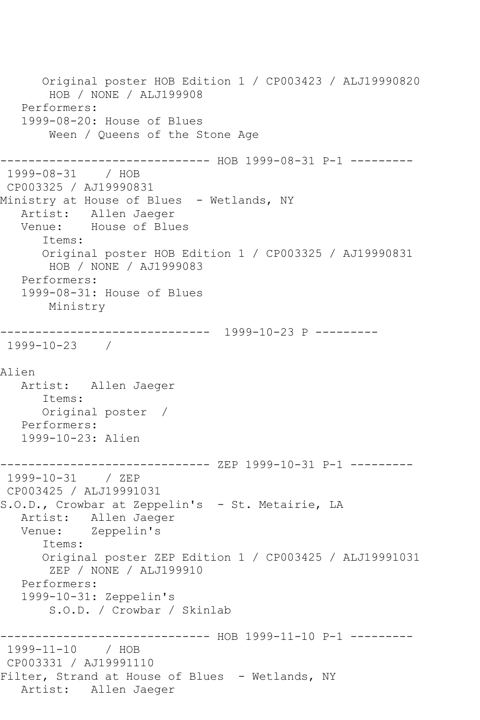Original poster HOB Edition 1 / CP003423 / ALJ19990820 HOB / NONE / ALJ199908 Performers: 1999-08-20: House of Blues Ween / Queens of the Stone Age ------------------------------ HOB 1999-08-31 P-1 --------- 1999-08-31 / HOB CP003325 / AJ19990831 Ministry at House of Blues - Wetlands, NY Artist: Allen Jaeger Venue: House of Blues Items: Original poster HOB Edition 1 / CP003325 / AJ19990831 HOB / NONE / AJ1999083 Performers: 1999-08-31: House of Blues Ministry ------------------------------ 1999-10-23 P --------- 1999-10-23 / Alien Artist: Allen Jaeger Items: Original poster / Performers: 1999-10-23: Alien ------------------------------ ZEP 1999-10-31 P-1 --------- 1999-10-31 / ZEP CP003425 / ALJ19991031 S.O.D., Crowbar at Zeppelin's - St. Metairie, LA Artist: Allen Jaeger Venue: Zeppelin's Items: Original poster ZEP Edition 1 / CP003425 / ALJ19991031 ZEP / NONE / ALJ199910 Performers: 1999-10-31: Zeppelin's S.O.D. / Crowbar / Skinlab ------------ HOB 1999-11-10 P-1 ---------1999-11-10 / HOB CP003331 / AJ19991110 Filter, Strand at House of Blues - Wetlands, NY Artist: Allen Jaeger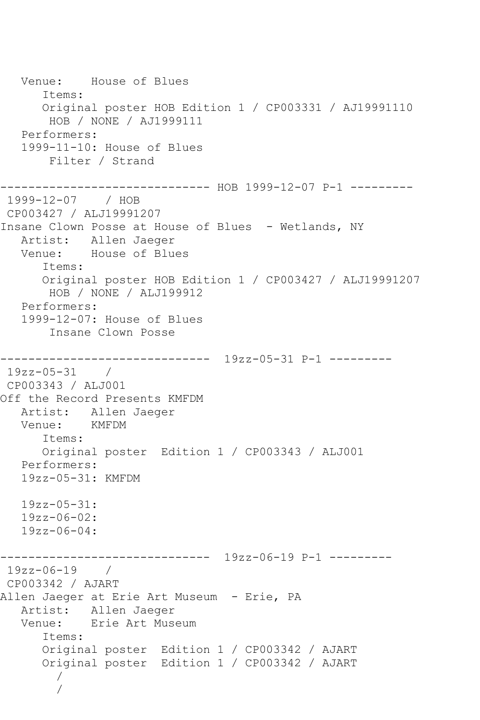Venue: House of Blues Items: Original poster HOB Edition 1 / CP003331 / AJ19991110 HOB / NONE / AJ1999111 Performers: 1999-11-10: House of Blues Filter / Strand ------------------------------ HOB 1999-12-07 P-1 --------- 1999-12-07 / HOB CP003427 / ALJ19991207 Insane Clown Posse at House of Blues - Wetlands, NY Artist: Allen Jaeger Venue: House of Blues Items: Original poster HOB Edition 1 / CP003427 / ALJ19991207 HOB / NONE / ALJ199912 Performers: 1999-12-07: House of Blues Insane Clown Posse ------------------------------ 19zz-05-31 P-1 --------- 19zz-05-31 / CP003343 / ALJ001 Off the Record Presents KMFDM Artist: Allen Jaeger Venue: KMFDM Items: Original poster Edition 1 / CP003343 / ALJ001 Performers: 19zz-05-31: KMFDM 19zz-05-31: 19zz-06-02: 19zz-06-04: ------------------------------ 19zz-06-19 P-1 --------- 19zz-06-19 / CP003342 / AJART Allen Jaeger at Erie Art Museum - Erie, PA Artist: Allen Jaeger Venue: Erie Art Museum Items: Original poster Edition 1 / CP003342 / AJART Original poster Edition 1 / CP003342 / AJART / /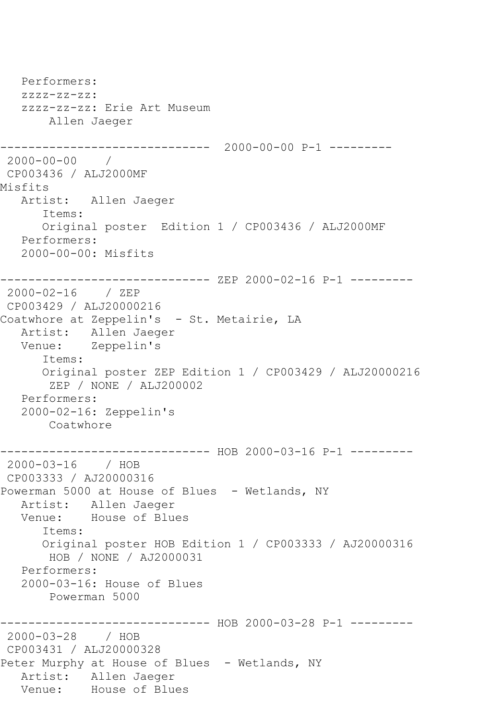```
 Performers:
   zzzz-zz-zz:
    zzzz-zz-zz: Erie Art Museum
        Allen Jaeger
                   ------------------------------ 2000-00-00 P-1 ---------
2000-00-00 / 
CP003436 / ALJ2000MF
Misfits
   Artist: Allen Jaeger
       Items:
       Original poster Edition 1 / CP003436 / ALJ2000MF
   Performers:
    2000-00-00: Misfits
------------------------------ ZEP 2000-02-16 P-1 ---------
2000-02-16 / ZEP 
CP003429 / ALJ20000216
Coatwhore at Zeppelin's - St. Metairie, LA
   Artist: Allen Jaeger
   Venue: Zeppelin's
       Items:
       Original poster ZEP Edition 1 / CP003429 / ALJ20000216
        ZEP / NONE / ALJ200002
   Performers:
    2000-02-16: Zeppelin's
        Coatwhore
------------------------------ HOB 2000-03-16 P-1 ---------
2000-03-16 / HOB 
CP003333 / AJ20000316
Powerman 5000 at House of Blues - Wetlands, NY
  Artist: Allen Jaeger<br>Venue: House of Blu
            House of Blues
       Items:
       Original poster HOB Edition 1 / CP003333 / AJ20000316
        HOB / NONE / AJ2000031
    Performers:
    2000-03-16: House of Blues
        Powerman 5000
------------------------------ HOB 2000-03-28 P-1 ---------
2000-03-28 / HOB 
CP003431 / ALJ20000328
Peter Murphy at House of Blues - Wetlands, NY
  Artist: Allen Jaeger<br>Venue: House of Blue
            House of Blues
```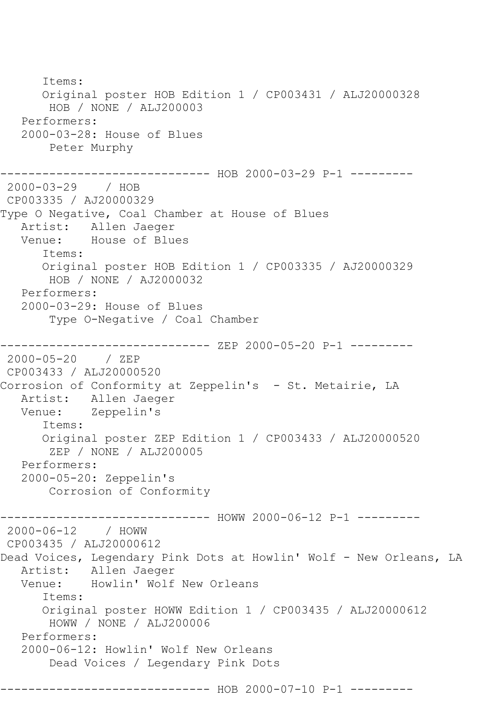Items: Original poster HOB Edition 1 / CP003431 / ALJ20000328 HOB / NONE / ALJ200003 Performers: 2000-03-28: House of Blues Peter Murphy ------------------------------ HOB 2000-03-29 P-1 --------- 2000-03-29 / HOB CP003335 / AJ20000329 Type O Negative, Coal Chamber at House of Blues Artist: Allen Jaeger<br>Venue: House of Blu House of Blues Items: Original poster HOB Edition 1 / CP003335 / AJ20000329 HOB / NONE / AJ2000032 Performers: 2000-03-29: House of Blues Type O-Negative / Coal Chamber ------------------------------ ZEP 2000-05-20 P-1 --------- 2000-05-20 / ZEP CP003433 / ALJ20000520 Corrosion of Conformity at Zeppelin's - St. Metairie, LA Artist: Allen Jaeger<br>Venue: Zeppelin's Zeppelin's Items: Original poster ZEP Edition 1 / CP003433 / ALJ20000520 ZEP / NONE / ALJ200005 Performers: 2000-05-20: Zeppelin's Corrosion of Conformity ------------------------------ HOWW 2000-06-12 P-1 --------- 2000-06-12 / HOWW CP003435 / ALJ20000612 Dead Voices, Legendary Pink Dots at Howlin' Wolf - New Orleans, LA Artist: Allen Jaeger Venue: Howlin' Wolf New Orleans Items: Original poster HOWW Edition 1 / CP003435 / ALJ20000612 HOWW / NONE / ALJ200006 Performers: 2000-06-12: Howlin' Wolf New Orleans Dead Voices / Legendary Pink Dots ------------------------------ HOB 2000-07-10 P-1 ---------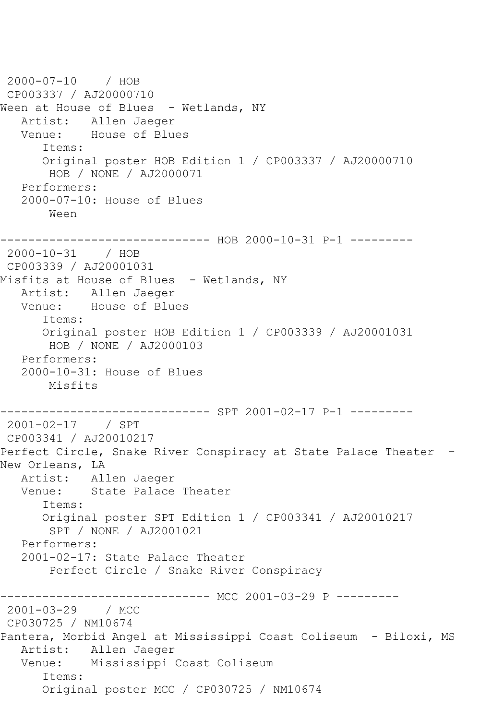2000-07-10 / HOB CP003337 / AJ20000710 Ween at House of Blues - Wetlands, NY Artist: Allen Jaeger<br>Venue: House of Blue House of Blues Items: Original poster HOB Edition 1 / CP003337 / AJ20000710 HOB / NONE / AJ2000071 Performers: 2000-07-10: House of Blues Ween ------------------------------ HOB 2000-10-31 P-1 --------- 2000-10-31 / HOB CP003339 / AJ20001031 Misfits at House of Blues - Wetlands, NY Artist: Allen Jaeger<br>Venue: House of Blu House of Blues Items: Original poster HOB Edition 1 / CP003339 / AJ20001031 HOB / NONE / AJ2000103 Performers: 2000-10-31: House of Blues Misfits ------------------------------ SPT 2001-02-17 P-1 --------- 2001-02-17 / SPT CP003341 / AJ20010217 Perfect Circle, Snake River Conspiracy at State Palace Theater -New Orleans, LA Artist: Allen Jaeger Venue: State Palace Theater Items: Original poster SPT Edition 1 / CP003341 / AJ20010217 SPT / NONE / AJ2001021 Performers: 2001-02-17: State Palace Theater Perfect Circle / Snake River Conspiracy ------------------------------ MCC 2001-03-29 P ---------<br>2001-03-29 / MCC  $2001 - 03 - 29$ CP030725 / NM10674 Pantera, Morbid Angel at Mississippi Coast Coliseum - Biloxi, MS Artist: Allen Jaeger Venue: Mississippi Coast Coliseum Items: Original poster MCC / CP030725 / NM10674